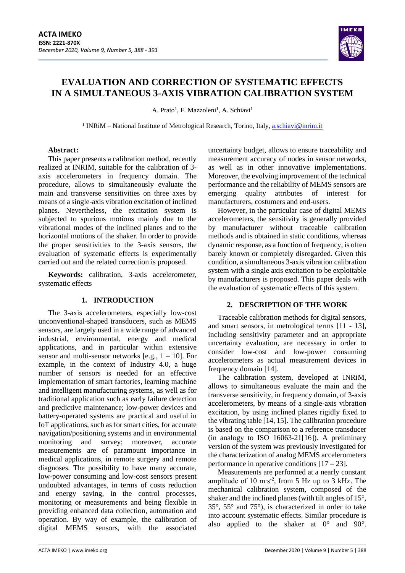

# **EVALUATION AND CORRECTION OF SYSTEMATIC EFFECTS IN A SIMULTANEOUS 3-AXIS VIBRATION CALIBRATION SYSTEM**

A. Prato<sup>1</sup>, F. Mazzoleni<sup>1</sup>, A. Schiavi<sup>1</sup>

<sup>1</sup> INRiM – National Institute of Metrological Research, Torino, Italy, **a.schiavi@inrim.it** 

## **Abstract:**

This paper presents a calibration method, recently realized at INRIM, suitable for the calibration of 3 axis accelerometers in frequency domain. The procedure, allows to simultaneously evaluate the main and transverse sensitivities on three axes by means of a single-axis vibration excitation of inclined planes. Nevertheless, the excitation system is subjected to spurious motions mainly due to the vibrational modes of the inclined planes and to the horizontal motions of the shaker. In order to provide the proper sensitivities to the 3-axis sensors, the evaluation of systematic effects is experimentally carried out and the related correction is proposed.

**Keywords:** calibration, 3-axis accelerometer, systematic effects

# **1. INTRODUCTION**

The 3-axis accelerometers, especially low-cost unconventional-shaped transducers, such as MEMS sensors, are largely used in a wide range of advanced industrial, environmental, energy and medical applications, and in particular within extensive sensor and multi-sensor networks  $[e.g., 1 - 10]$ . For example, in the context of Industry 4.0, a huge number of sensors is needed for an effective implementation of smart factories, learning machine and intelligent manufacturing systems, as well as for traditional application such as early failure detection and predictive maintenance; low-power devices and battery-operated systems are practical and useful in IoT applications, such as for smart cities, for accurate navigation/positioning systems and in environmental monitoring and survey; moreover, accurate measurements are of paramount importance in medical applications, in remote surgery and remote diagnoses. The possibility to have many accurate, low-power consuming and low-cost sensors present undoubted advantages, in terms of costs reduction and energy saving, in the control processes, monitoring or measurements and being flexible in providing enhanced data collection, automation and operation. By way of example, the calibration of digital MEMS sensors, with the associated

uncertainty budget, allows to ensure traceability and measurement accuracy of nodes in sensor networks, as well as in other innovative implementations. Moreover, the evolving improvement of the technical performance and the reliability of MEMS sensors are emerging quality attributes of interest for manufacturers, costumers and end-users.

However, in the particular case of digital MEMS accelerometers, the sensitivity is generally provided by manufacturer without traceable calibration methods and is obtained in static conditions, whereas dynamic response, as a function of frequency, is often barely known or completely disregarded. Given this condition, a simultaneous 3-axis vibration calibration system with a single axis excitation to be exploitable by manufacturers is proposed. This paper deals with the evaluation of systematic effects of this system.

# **2. DESCRIPTION OF THE WORK**

Traceable calibration methods for digital sensors, and smart sensors, in metrological terms [11 - 13], including sensitivity parameter and an appropriate uncertainty evaluation, are necessary in order to consider low-cost and low-power consuming accelerometers as actual measurement devices in frequency domain [14].

The calibration system, developed at INRiM, allows to simultaneous evaluate the main and the transverse sensitivity, in frequency domain, of 3-axis accelerometers, by means of a single-axis vibration excitation, by using inclined planes rigidly fixed to the vibrating table [14, 15]. The calibration procedure is based on the comparison to a reference transducer (in analogy to ISO 16063-21[16]). A preliminary version of the system was previously investigated for the characterization of analog MEMS accelerometers performance in operative conditions  $[17 - 23]$ .

Measurements are performed at a nearly constant amplitude of 10 m∙s-2 , from 5 Hz up to 3 kHz. The mechanical calibration system, composed of the shaker and the inclined planes (with tilt angles of 15°, 35°, 55° and 75°), is characterized in order to take into account systematic effects. Similar procedure is also applied to the shaker at 0° and 90°.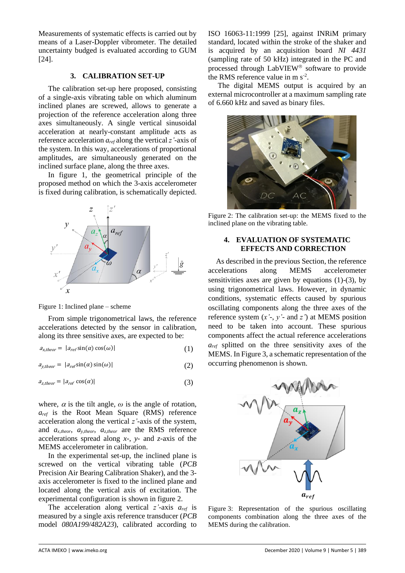Measurements of systematic effects is carried out by means of a Laser-Doppler vibrometer. The detailed uncertainty budged is evaluated according to GUM [24].

# **3. CALIBRATION SET-UP**

The calibration set-up here proposed, consisting of a single-axis vibrating table on which aluminum inclined planes are screwed, allows to generate a projection of the reference acceleration along three axes simultaneously. A single vertical sinusoidal acceleration at nearly-constant amplitude acts as reference acceleration *aref* along the vertical *z'-*axis of the system. In this way, accelerations of proportional amplitudes, are simultaneously generated on the inclined surface plane, along the three axes.

In figure 1, the geometrical principle of the proposed method on which the 3-axis accelerometer is fixed during calibration, is schematically depicted.



Figure 1: Inclined plane – scheme

From simple trigonometrical laws, the reference accelerations detected by the sensor in calibration, along its three sensitive axes, are expected to be:

$$
a_{x\text{theor}} = |a_{\text{ref}}\sin(\alpha)\cos(\omega)|\tag{1}
$$

 $a_{y,theor} = |a_{ref} \sin(\alpha) \sin(\omega)|$  (2)

$$
a_{z,theor} = |a_{ref}\cos(\alpha)|\tag{3}
$$

where,  $\alpha$  is the tilt angle,  $\omega$  is the angle of rotation, *aref* is the Root Mean Square (RMS) reference acceleration along the vertical *z'-*axis of the system, and *ax,theor*, *ay,theor*, *az,theor* are the RMS reference accelerations spread along *x-*, *y-* and *z-*axis of the MEMS accelerometer in calibration.

In the experimental set-up, the inclined plane is screwed on the vertical vibrating table (*PCB* Precision Air Bearing Calibration Shaker), and the 3 axis accelerometer is fixed to the inclined plane and located along the vertical axis of excitation. The experimental configuration is shown in figure 2.

The acceleration along vertical *z'-*axis *aref* is measured by a single axis reference transducer (*PCB*  model *080A199/482A23*), calibrated according to ISO 16063-11:1999 [25], against INRiM primary standard, located within the stroke of the shaker and is acquired by an acquisition board *NI 4431* (sampling rate of 50 kHz) integrated in the PC and processed through LabVIEW® software to provide the RMS reference value in m  $s^{-2}$ .

The digital MEMS output is acquired by an external microcontroller at a maximum sampling rate of 6.660 kHz and saved as binary files.



Figure 2: The calibration set-up: the MEMS fixed to the inclined plane on the vibrating table.

## **4. EVALUATION OF SYSTEMATIC EFFECTS AND CORRECTION**

As described in the previous Section, the reference accelerations along MEMS accelerometer sensitivities axes are given by equations  $(1)-(3)$ , by using trigonometrical laws. However, in dynamic conditions, systematic effects caused by spurious oscillating components along the three axes of the reference system (*x'*-, *y'*- and *z'*) at MEMS position need to be taken into account. These spurious components affect the actual reference accelerations *aref* splitted on the three sensitivity axes of the MEMS. In Figure 3, a schematic representation of the occurring phenomenon is shown.



Figure 3: Representation of the spurious oscillating components combination along the three axes of the MEMS during the calibration.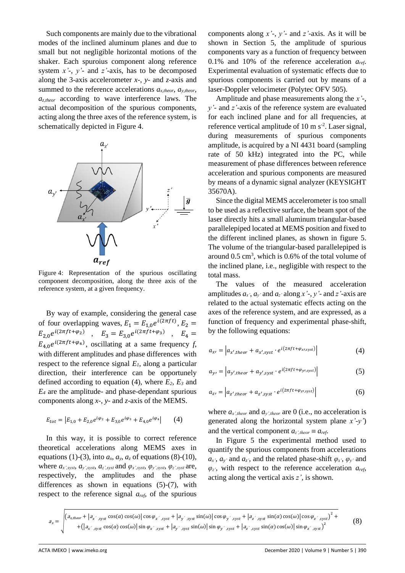Such components are mainly due to the vibrational modes of the inclined aluminum planes and due to small but not negligible horizontal motions of the shaker. Each spuroius component along reference system *x'*-, *y'*- and *z'*-axis, has to be decomposed along the 3-axis accelerometer *x*-, *y*- and *z*-axis and summed to the reference accelerations *ax,theor*, *ay,theor*, *az,theor* according to wave interference laws. The actual decomposition of the spurious components, acting along the three axes of the reference system, is schematically depicted in Figure 4.



Figure 4: Representation of the spurious oscillating component decomposition, along the three axis of the reference system, at a given frequency.

By way of example, considering the general case of four overlapping waves,  $E_1 = E_{1,0} e^{i(2\pi ft)}$ ,  $E_2 =$  $E_{2,0}e^{i(2\pi ft+\varphi_2)}$ ,  $E_3 = E_{3,0}e^{i(2\pi ft+\varphi_3)}$ ,  $E_4 =$  $E_{4,0}e^{i(2\pi ft+\varphi_4)}$ , oscillating at a same frequency *f*, with different amplitudes and phase differences with respect to the reference signal *E1*, along a particular direction, their interference can be opportunely defined according to equation (4), where *E2*, *E<sup>3</sup>* and *E<sup>4</sup>* are the amplitude- and phase-dependant spurious components along *x-*, *y-* and *z-*axis of the MEMS.

$$
E_{tot} = |E_{1,0} + E_{2,0}e^{i\varphi_2} + E_{3,0}e^{i\varphi_3} + E_{4,0}e^{i\varphi_4}|
$$
 (4)

In this way, it is possible to correct reference theoretical accelerations along MEMS axes in equations (1)-(3), into  $a_x$ ,  $a_y$ ,  $a_z$  of equations (8)-(10), where  $a_x$ ',syst,  $a_y$ ',syst,  $a_z$ ',syst and  $\varphi_x$ ',syst,  $\varphi_y$ ',syst,  $\varphi_z$ ',syst are, respectively, the amplitudes and the phase differences as shown in equations (5)-(7), with respect to the reference signal *aref*, of the spurious components along *x'*-, *y'*- and *z'*-axis. As it will be shown in Section 5, the amplitude of spurious components vary as a function of frequency between 0.1% and 10% of the reference acceleration *aref*. Experimental evaluation of systematic effects due to spurious components is carried out by means of a laser-Doppler velocimeter (Polytec OFV 505).

Amplitude and phase measurements along the *x'*-, *y'*- and *z'-*axis of the reference system are evaluated for each inclined plane and for all frequencies, at reference vertical amplitude of 10 m  $s^2$ . Laser signal, during measurements of spurious components amplitude, is acquired by a NI 4431 board (sampling rate of 50 kHz) integrated into the PC, while measurement of phase differences between reference acceleration and spurious components are measured by means of a dynamic signal analyzer (KEYSIGHT 35670A).

Since the digital MEMS accelerometer is too small to be used as a reflective surface, the beam spot of the laser directly hits a small aluminum triangular-based parallelepiped located at MEMS position and fixed to the different inclined planes, as shown in figure 5. The volume of the triangular-based parallelepiped is around  $0.5 \text{ cm}^3$ , which is 0.6% of the total volume of the inclined plane, i.e., negligible with respect to the total mass.

The values of the measured acceleration amplitudes  $a_x$ ,  $a_y$  and  $a_z$  along  $x'$ ,  $y'$ - and  $z'$ -axis are related to the actual systematic effects acting on the axes of the reference system, and are expressed, as a function of frequency and experimental phase-shift, by the following equations:

$$
a_{x'} = \left| a_{x',theor} + a_{x',syst} \cdot e^{i(2\pi ft + \varphi_{x',syst})} \right| \tag{4}
$$

$$
a_{y'} = \left| a_{y',theor} + a_{y',syst} \cdot e^{i(2\pi ft + \varphi_{y',syst})} \right| \tag{5}
$$

$$
a_{z'} = \left| a_{z',theor} + a_{z',syst} \cdot e^{i(2\pi ft + \varphi_{z',syst})} \right| \tag{6}
$$

where  $a_{x',theor}$  and  $a_{y',theor}$  are 0 (i.e., no acceleration is generated along the horizontal system plane *x'-y'*) and the vertical component  $a_z$ <sup>*theor*</sup>  $\equiv a_{ref}$ .

In Figure 5 the experimental method used to quantify the spurious components from accelerations  $a_x$ <sup>*,*</sup>,  $a_y$ <sup>*'*</sup> and  $a_z$ <sup>*'*</sup>, and the related phase-shift  $\varphi_x$ <sup>*'*</sup>,  $\varphi_y$ <sup>*'*</sup> and *φz'*, with respect to the reference acceleration *aref*, acting along the vertical axis *z'*, is shown.

 $a_x = \left| \left( a_{x\text{ }theor} + |a_{x',\text{ syst}} \cos(\alpha) \cos(\omega) | \cos \varphi_{x',\text{ syst}} + |a_{y',\text{ syst}} \sin(\omega) | \cos \varphi_{y',\text{ syst}} + |a_{z',\text{ syst}} \sin(\alpha) \cos(\omega) | \cos \varphi_{z',\text{ syst}} \right)^2 + \right|$  $+ (|a_{x',syst}\cos(\alpha)\cos(\omega)|\sin\varphi_{x',syst} + |a_{y',syst}\sin(\omega)|\sin\varphi_{y',syst} + |a_{z',syst}\sin(\alpha)\cos(\omega)|\sin\varphi_{z',syst}|^2$ (8)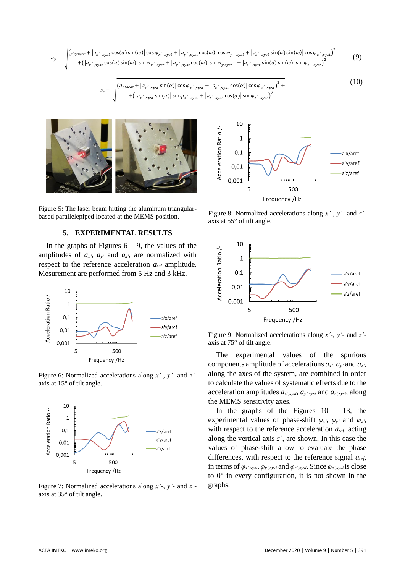$a<sub>v</sub>$  $\left(a_{\text{y,theor}} + \left| a_{\text{x}^\prime,\text{syst}} \cos(\alpha) \sin(\omega) \right| \cos \varphi_{\text{x}^\prime,\text{syst}} + \left| a_{\text{y}^\prime,\text{syst}} \cos(\omega) \right| \cos \varphi_{\text{y}^\prime,\text{syst}} + \left| a_{\text{z}^\prime,\text{syst}} \sin(\alpha) \sin(\omega) \right| \cos \varphi_{\text{z}^\prime,\text{syst}} \right)^2$  $+(|a_{x',syst}\cos(\alpha)\sin(\omega)|\sin\varphi_{x',syst} + |a_{y',syst}\cos(\omega)|\sin\varphi_{y,syst'}| + |a_{z',syst}\sin(\alpha)\sin(\omega)|\sin\varphi_{z',syst}|^2$ (9)

$$
a_{z} = \sqrt{\frac{(a_{z,theor} + |a_{x',syst} \sin(\alpha)|\cos\varphi_{x',syst} + |a_{z',syst} \cos(\alpha)|\cos\varphi_{z',syst})^{2} + \sqrt{(|a_{x',syst} \sin(\alpha)|\sin\varphi_{x',syst} + |a_{z',syst} \cos(\alpha)|\sin\varphi_{z',syst})^{2}}}
$$
(10)

Figure 5: The laser beam hitting the aluminum triangularbased parallelepiped located at the MEMS position.

#### **5. EXPERIMENTAL RESULTS**

In the graphs of Figures  $6 - 9$ , the values of the amplitudes of  $a_x$ ,  $a_y$  and  $a_z$ , are normalized with respect to the reference acceleration *aref* amplitude. Mesurement are performed from 5 Hz and 3 kHz.



Figure 6: Normalized accelerations along *x'-*, *y'-* and *z'* axis at 15° of tilt angle.



Figure 7: Normalized accelerations along *x'-*, *y'-* and *z'* axis at 35° of tilt angle.



Figure 8: Normalized accelerations along *x'-*, *y'-* and *z'* axis at 55° of tilt angle.



Figure 9: Normalized accelerations along *x'-*, *y'-* and *z'* axis at 75° of tilt angle.

The experimental values of the spurious components amplitude of accelerations  $a_x$ <sup>'</sup>,  $a_y$ <sup>'</sup> and  $a_z$ ', along the axes of the system, are combined in order to calculate the values of systematic effects due to the acceleration amplitudes *ax',syst*, *ay',syst* and *az',syst*, along the MEMS sensitivity axes.

In the graphs of the Figures  $10 - 13$ , the experimental values of phase-shift  $\varphi_x$ <sup>*,*</sup>,  $\varphi_y$ <sup>*'*</sup> and  $\varphi_z$ <sup>*'*</sup>, with respect to the reference acceleration *aref*, acting along the vertical axis *z'*, are shown. In this case the values of phase-shift allow to evaluate the phase differences, with respect to the reference signal *aref*, in terms of  $\varphi_{x',syst}, \varphi_{y',syst}$  and  $\varphi_{z',syst}$ . Since  $\varphi_{z',syst}$  is close to 0° in every configuration, it is not shown in the graphs.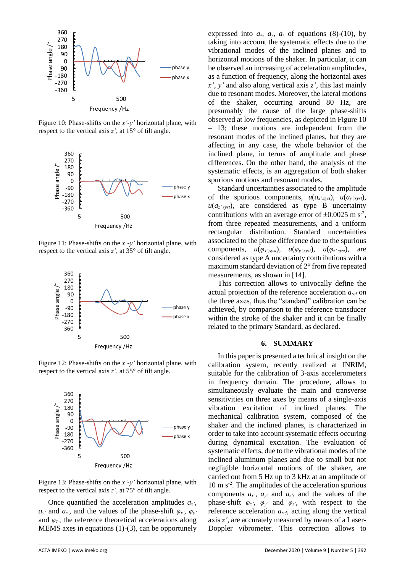

Figure 10: Phase-shifts on the *x'-y'* horizontal plane, with respect to the vertical axis *z'*, at 15° of tilt angle.



Figure 11: Phase-shifts on the *x'-y'* horizontal plane, with respect to the vertical axis *z'*, at 35° of tilt angle.



Figure 12: Phase-shifts on the *x'-y'* horizontal plane, with respect to the vertical axis *z'*, at 55° of tilt angle.



Figure 13: Phase-shifts on the *x'-y'* horizontal plane, with respect to the vertical axis *z'*, at 75° of tilt angle.

Once quantified the acceleration amplitudes *ax'*,  $a_v$  and  $a_z$ <sup>*z*</sup>, and the values of the phase-shift  $\varphi_x$ <sup>*,*</sup>,  $\varphi_v$ <sup>*'*</sup> and  $\varphi$ <sub>z</sub>', the reference theoretical accelerations along MEMS axes in equations (1)-(3), can be opportunely expressed into  $a_x$ ,  $a_y$ ,  $a_z$  of equations (8)-(10), by taking into account the systematic effects due to the vibrational modes of the inclined planes and to horizontal motions of the shaker. In particular, it can be observed an increasing of acceleration amplitudes, as a function of frequency, along the horizontal axes *x'*, *y'* and also along vertical axis *z'*, this last mainly due to resonant modes. Moreover, the lateral motions of the shaker, occurring around 80 Hz, are presumably the cause of the large phase-shifts observed at low frequencies, as depicted in Figure 10 – 13; these motions are independent from the resonant modes of the inclined planes, but they are affecting in any case, the whole behavior of the inclined plane, in terms of amplitude and phase differences. On the other hand, the analysis of the systematic effects, is an aggregation of both shaker spurious motions and resonant modes.

Standard uncertainties associated to the amplitude of the spurious components,  $u(a_{x',syst})$ ,  $u(a_{y',syst})$ ,  $u(a_{z, syst})$ , are considered as type B uncertainty contributions with an average error of  $\pm 0.0025$  m s<sup>-2</sup>, from three repeated measurements, and a uniform rectangular distribution. Standard uncertainties associated to the phase difference due to the spurious components,  $u(\varphi_{x',syst})$ ,  $u(\varphi_{y',syst})$ ,  $u(\varphi_{z',syst})$ , are considered as type A uncertainty contributions with a maximum standard deviation of 2° from five repeated measurements, as shown in [14].

This correction allows to univocally define the actual projection of the reference acceleration *aref* on the three axes, thus the "standard" calibration can be achieved, by comparison to the reference transducer within the stroke of the shaker and it can be finally related to the primary Standard, as declared.

#### **6. SUMMARY**

In this paper is presented a technical insight on the calibration system, recently realized at INRIM, suitable for the calibration of 3-axis accelerometers in frequency domain. The procedure, allows to simultaneously evaluate the main and transverse sensitivities on three axes by means of a single-axis vibration excitation of inclined planes. The mechanical calibration system, composed of the shaker and the inclined planes, is characterized in order to take into account systematic effects occuring during dynamical excitation. The evaluation of systematic effects, due to the vibrational modes of the inclined aluminum planes and due to small but not negligible horizontal motions of the shaker, are carried out from 5 Hz up to 3 kHz at an amplitude of 10 m s<sup>-2</sup>. The amplitudes of the acceleration spurious components  $a_x$ <sup>*,*</sup>,  $a_y$ <sup>*'*</sup> and  $a_z$ <sup>*'*</sup>, and the values of the phase-shift  $\varphi_x$ ,  $\varphi_y$  and  $\varphi_z$ , with respect to the reference acceleration *aref*, acting along the vertical axis *z'*, are accurately measured by means of a Laser-Doppler vibrometer. This correction allows to